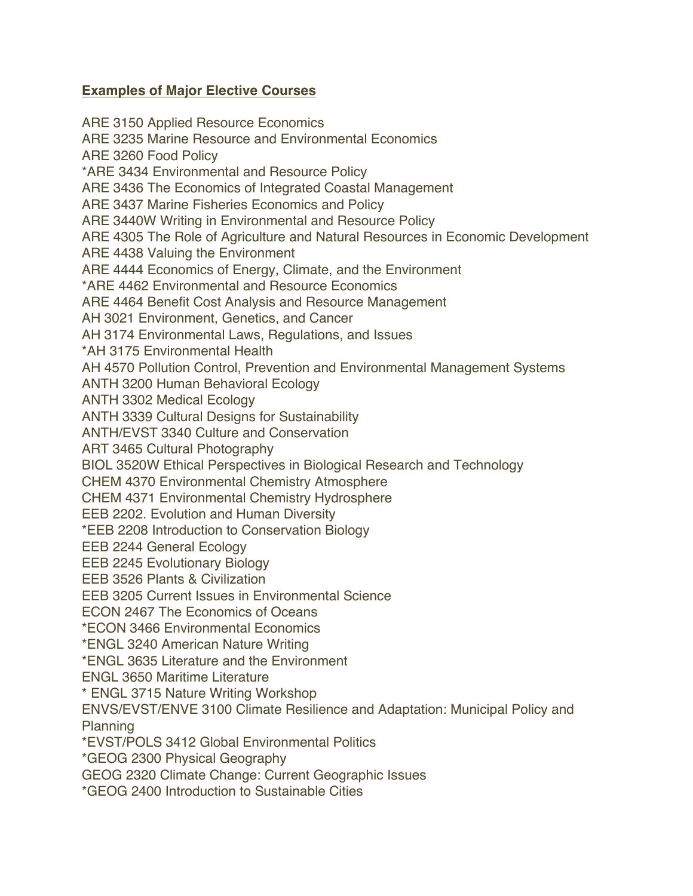## **Examples of Major Elective Courses**

ARE 3150 Applied Resource Economics ARE 3235 Marine Resource and Environmental Economics ARE 3260 Food Policy \*ARE 3434 Environmental and Resource Policy ARE 3436 The Economics of Integrated Coastal Management ARE 3437 Marine Fisheries Economics and Policy ARE 3440W Writing in Environmental and Resource Policy ARE 4305 The Role of Agriculture and Natural Resources in Economic Development ARE 4438 Valuing the Environment ARE 4444 Economics of Energy, Climate, and the Environment \*ARE 4462 Environmental and Resource Economics ARE 4464 Benefit Cost Analysis and Resource Management AH 3021 Environment, Genetics, and Cancer AH 3174 Environmental Laws, Regulations, and Issues \*AH 3175 Environmental Health AH 4570 Pollution Control, Prevention and Environmental Management Systems ANTH 3200 Human Behavioral Ecology ANTH 3302 Medical Ecology ANTH 3339 Cultural Designs for Sustainability ANTH/EVST 3340 Culture and Conservation ART 3465 Cultural Photography BIOL 3520W Ethical Perspectives in Biological Research and Technology CHEM 4370 Environmental Chemistry Atmosphere CHEM 4371 Environmental Chemistry Hydrosphere EEB 2202. Evolution and Human Diversity \*EEB 2208 Introduction to Conservation Biology EEB 2244 General Ecology EEB 2245 Evolutionary Biology EEB 3526 Plants & Civilization EEB 3205 Current Issues in Environmental Science ECON 2467 The Economics of Oceans \*ECON 3466 Environmental Economics \*ENGL 3240 American Nature Writing \*ENGL 3635 Literature and the Environment ENGL 3650 Maritime Literature \* ENGL 3715 Nature Writing Workshop ENVS/EVST/ENVE 3100 Climate Resilience and Adaptation: Municipal Policy and Planning \*EVST/POLS 3412 Global Environmental Politics \*GEOG 2300 Physical Geography GEOG 2320 Climate Change: Current Geographic Issues \*GEOG 2400 Introduction to Sustainable Cities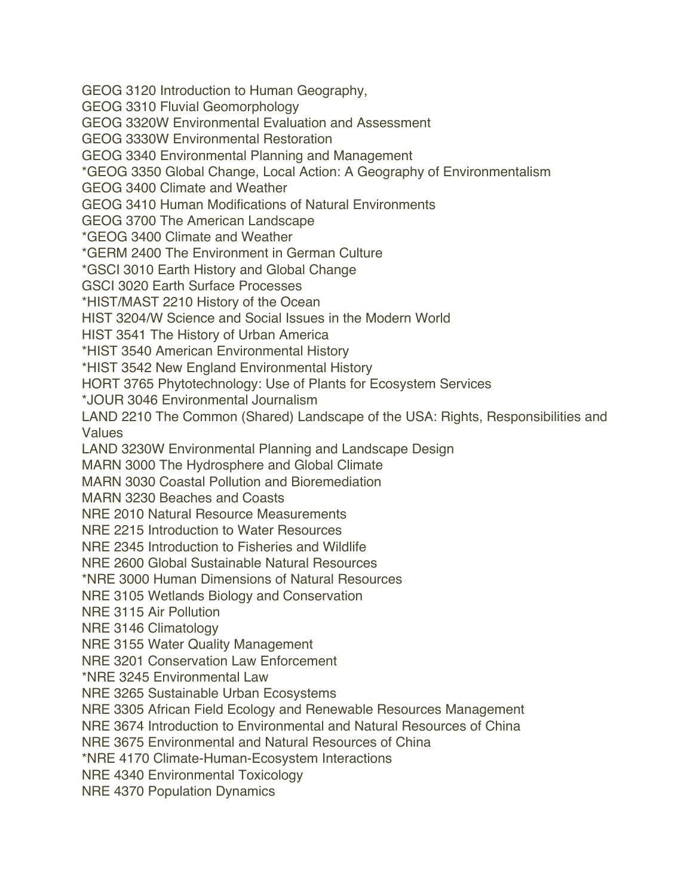GEOG 3120 Introduction to Human Geography,

GEOG 3310 Fluvial Geomorphology

GEOG 3320W Environmental Evaluation and Assessment

GEOG 3330W Environmental Restoration

GEOG 3340 Environmental Planning and Management

\*GEOG 3350 Global Change, Local Action: A Geography of Environmentalism

GEOG 3400 Climate and Weather

GEOG 3410 Human Modifications of Natural Environments

GEOG 3700 The American Landscape

\*GEOG 3400 Climate and Weather

\*GERM 2400 The Environment in German Culture

\*GSCI 3010 Earth History and Global Change

GSCI 3020 Earth Surface Processes

\*HIST/MAST 2210 History of the Ocean

HIST 3204/W Science and Social Issues in the Modern World

HIST 3541 The History of Urban America

\*HIST 3540 American Environmental History

\*HIST 3542 New England Environmental History

HORT 3765 Phytotechnology: Use of Plants for Ecosystem Services

\*JOUR 3046 Environmental Journalism

LAND 2210 The Common (Shared) Landscape of the USA: Rights, Responsibilities and Values

LAND 3230W Environmental Planning and Landscape Design

MARN 3000 The Hydrosphere and Global Climate

MARN 3030 Coastal Pollution and Bioremediation

MARN 3230 Beaches and Coasts

NRE 2010 Natural Resource Measurements

NRE 2215 Introduction to Water Resources

NRE 2345 Introduction to Fisheries and Wildlife

NRE 2600 Global Sustainable Natural Resources

\*NRE 3000 Human Dimensions of Natural Resources

NRE 3105 Wetlands Biology and Conservation

NRE 3115 Air Pollution

NRE 3146 Climatology

NRE 3155 Water Quality Management

NRE 3201 Conservation Law Enforcement

\*NRE 3245 Environmental Law

NRE 3265 Sustainable Urban Ecosystems

NRE 3305 African Field Ecology and Renewable Resources Management

NRE 3674 Introduction to Environmental and Natural Resources of China

NRE 3675 Environmental and Natural Resources of China

\*NRE 4170 Climate-Human-Ecosystem Interactions

NRE 4340 Environmental Toxicology

NRE 4370 Population Dynamics